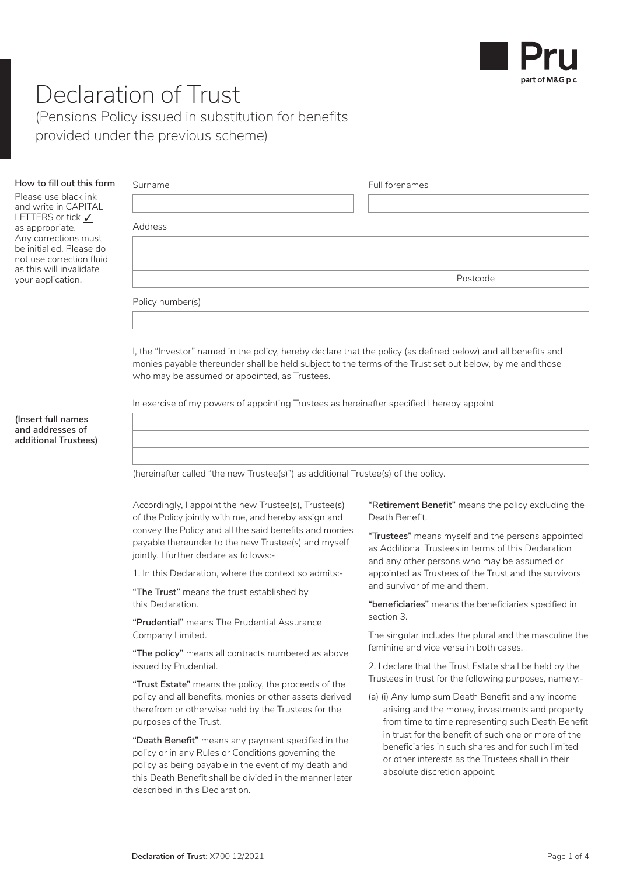

## Declaration of Trust

Address

(Pensions Policy issued in substitution for benefits provided under the previous scheme)

| How to fill out this form | Surname |  | Full forenames |
|---------------------------|---------|--|----------------|
|---------------------------|---------|--|----------------|

Please use black ink and write in CAPITAL LETTERS or tick  $\sqrt{}$ as appropriate. Any corrections must be initialled. Please do not use correction fluid as this will invalidate your application.

|                  | Postcode |
|------------------|----------|
| Policy number(s) |          |
|                  |          |

I, the "Investor" named in the policy, hereby declare that the policy (as defined below) and all benefits and monies payable thereunder shall be held subject to the terms of the Trust set out below, by me and those who may be assumed or appointed, as Trustees.

In exercise of my powers of appointing Trustees as hereinafter specified I hereby appoint

**(Insert full names and addresses of additional Trustees)** 

(hereinafter called "the new Trustee(s)") as additional Trustee(s) of the policy.

Accordingly, I appoint the new Trustee(s), Trustee(s) of the Policy jointly with me, and hereby assign and convey the Policy and all the said benefits and monies payable thereunder to the new Trustee(s) and myself jointly. I further declare as follows:-

1. In this Declaration, where the context so admits:-

**"The Trust"** means the trust established by this Declaration.

**"Prudential"** means The Prudential Assurance Company Limited.

**"The policy"** means all contracts numbered as above issued by Prudential.

**"Trust Estate"** means the policy, the proceeds of the policy and all benefits, monies or other assets derived therefrom or otherwise held by the Trustees for the purposes of the Trust.

**"Death Benefit"** means any payment specified in the policy or in any Rules or Conditions governing the policy as being payable in the event of my death and this Death Benefit shall be divided in the manner later described in this Declaration.

**"Retirement Benefit"** means the policy excluding the Death Benefit.

**"Trustees"** means myself and the persons appointed as Additional Trustees in terms of this Declaration and any other persons who may be assumed or appointed as Trustees of the Trust and the survivors and survivor of me and them.

**"beneficiaries"** means the beneficiaries specified in section 3.

The singular includes the plural and the masculine the feminine and vice versa in both cases.

2. I declare that the Trust Estate shall be held by the Trustees in trust for the following purposes, namely:-

(a) (i) Any lump sum Death Benefit and any income arising and the money, investments and property from time to time representing such Death Benefit in trust for the benefit of such one or more of the beneficiaries in such shares and for such limited or other interests as the Trustees shall in their absolute discretion appoint.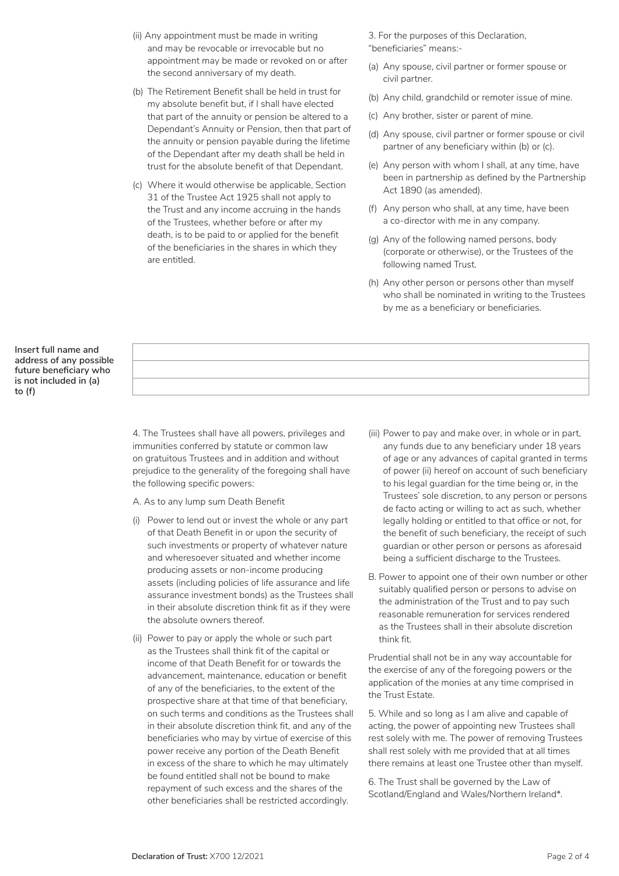- (ii) Any appointment must be made in writing and may be revocable or irrevocable but no appointment may be made or revoked on or after the second anniversary of my death.
- (b) The Retirement Benefit shall be held in trust for my absolute benefit but, if I shall have elected that part of the annuity or pension be altered to a Dependant's Annuity or Pension, then that part of the annuity or pension payable during the lifetime of the Dependant after my death shall be held in trust for the absolute benefit of that Dependant.
- (c) Where it would otherwise be applicable, Section 31 of the Trustee Act 1925 shall not apply to the Trust and any income accruing in the hands of the Trustees, whether before or after my death, is to be paid to or applied for the benefit of the beneficiaries in the shares in which they are entitled.

3. For the purposes of this Declaration, "beneficiaries" means:-

- (a) Any spouse, civil partner or former spouse or civil partner.
- (b) Any child, grandchild or remoter issue of mine.
- (c) Any brother, sister or parent of mine.
- (d) Any spouse, civil partner or former spouse or civil partner of any beneficiary within (b) or (c).
- (e) Any person with whom I shall, at any time, have been in partnership as defined by the Partnership Act 1890 (as amended).
- (f) Any person who shall, at any time, have been a co-director with me in any company.
- (g) Any of the following named persons, body (corporate or otherwise), or the Trustees of the following named Trust.
- (h) Any other person or persons other than myself who shall be nominated in writing to the Trustees by me as a beneficiary or beneficiaries.

**Insert full name and address of any possible future beneficiary who is not included in (a) to (f)** 

> 4. The Trustees shall have all powers, privileges and immunities conferred by statute or common law on gratuitous Trustees and in addition and without prejudice to the generality of the foregoing shall have the following specific powers:

A. As to any lump sum Death Benefit

- (i) Power to lend out or invest the whole or any part of that Death Benefit in or upon the security of such investments or property of whatever nature and wheresoever situated and whether income producing assets or non-income producing assets (including policies of life assurance and life assurance investment bonds) as the Trustees shall in their absolute discretion think fit as if they were the absolute owners thereof.
- (ii) Power to pay or apply the whole or such part as the Trustees shall think fit of the capital or income of that Death Benefit for or towards the advancement, maintenance, education or benefit of any of the beneficiaries, to the extent of the prospective share at that time of that beneficiary, on such terms and conditions as the Trustees shall in their absolute discretion think fit, and any of the beneficiaries who may by virtue of exercise of this power receive any portion of the Death Benefit in excess of the share to which he may ultimately be found entitled shall not be bound to make repayment of such excess and the shares of the other beneficiaries shall be restricted accordingly.
- (iii) Power to pay and make over, in whole or in part, any funds due to any beneficiary under 18 years of age or any advances of capital granted in terms of power (ii) hereof on account of such beneficiary to his legal guardian for the time being or, in the Trustees' sole discretion, to any person or persons de facto acting or willing to act as such, whether legally holding or entitled to that office or not, for the benefit of such beneficiary, the receipt of such guardian or other person or persons as aforesaid being a sufficient discharge to the Trustees.
- B. Power to appoint one of their own number or other suitably qualified person or persons to advise on the administration of the Trust and to pay such reasonable remuneration for services rendered as the Trustees shall in their absolute discretion think fit.

Prudential shall not be in any way accountable for the exercise of any of the foregoing powers or the application of the monies at any time comprised in the Trust Estate.

5. While and so long as I am alive and capable of acting, the power of appointing new Trustees shall rest solely with me. The power of removing Trustees shall rest solely with me provided that at all times there remains at least one Trustee other than myself.

6. The Trust shall be governed by the Law of Scotland/England and Wales/Northern Ireland\*.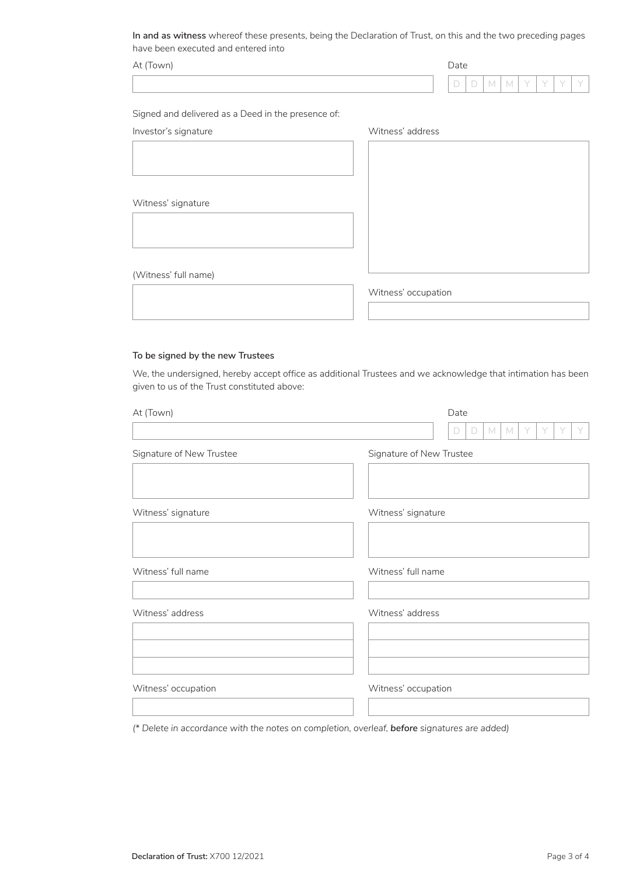**In and as witness** whereof these presents, being the Declaration of Trust, on this and the two preceding pages have been executed and entered into

| At $($ T<br>(Town) | Date |                  |             |  |  |  |  |  |
|--------------------|------|------------------|-------------|--|--|--|--|--|
|                    |      | $\sim$<br>$\sim$ | -<br>$\sim$ |  |  |  |  |  |
|                    |      |                  |             |  |  |  |  |  |

Signed and delivered as a Deed in the presence of:

Investor's signature Microsoft Charles and Witness' address

| Witness' signature   |  |  |
|----------------------|--|--|
|                      |  |  |
|                      |  |  |
|                      |  |  |
|                      |  |  |
| (Witness' full name) |  |  |
|                      |  |  |

Witness' occupation

## **To be signed by the new Trustees**

We, the undersigned, hereby accept office as additional Trustees and we acknowledge that intimation has been given to us of the Trust constituted above:

| At (Town)                | Date                            |
|--------------------------|---------------------------------|
|                          | M<br>$\mathbb M$<br>Y<br>D<br>D |
| Signature of New Trustee | Signature of New Trustee        |
| Witness' signature       | Witness' signature              |
| Witness' full name       | Witness' full name              |
| Witness' address         | Witness' address                |
| Witness' occupation      | Witness' occupation             |

*(\* Delete in accordance with the notes on completion, overleaf, before signatures are added)*